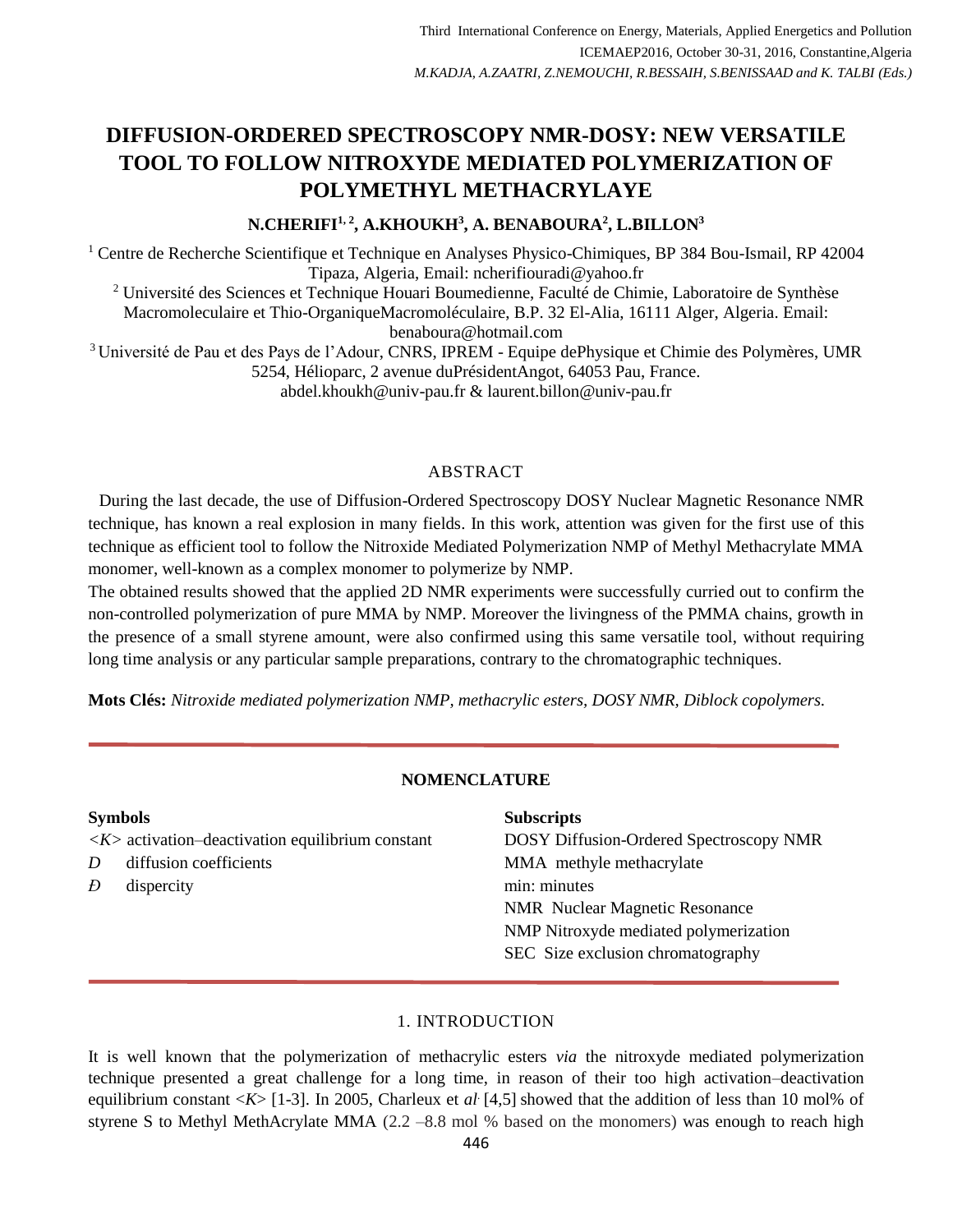# **DIFFUSION-ORDERED SPECTROSCOPY NMR-DOSY: NEW VERSATILE TOOL TO FOLLOW NITROXYDE MEDIATED POLYMERIZATION OF POLYMETHYL METHACRYLAYE**

# **N.CHERIFI1, <sup>2</sup> , A.KHOUKH<sup>3</sup> , A. BENABOURA<sup>2</sup> , L.BILLON<sup>3</sup>**

<sup>1</sup> Centre de Recherche Scientifique et Technique en Analyses Physico-Chimiques, BP 384 Bou-Ismail, RP 42004 Tipaza, Algeria, Email: [ncherifiouradi@yahoo.fr](mailto:ncherifiouradi@yahoo.fr)

<sup>2</sup> Université des Sciences et Technique Houari Boumedienne, Faculté de Chimie, Laboratoire de Synthèse Macromoleculaire et Thio-OrganiqueMacromoléculaire, B.P. 32 El-Alia, 16111 Alger, Algeria. Email: [benaboura@hotmail.com](mailto:benaboura@hotmail.com)

<sup>3</sup> Université de Pau et des Pays de l'Adour, CNRS, IPREM - Equipe dePhysique et Chimie des Polymères, UMR 5254, Hélioparc, 2 avenue duPrésidentAngot, 64053 Pau, France. [abdel.khoukh@univ-pau.fr](mailto:abdel.khoukh@univ-pau.fr) & [laurent.billon@univ-pau.fr](mailto:laurent.billon@univ-pau.fr)

#### ABSTRACT

During the last decade, the use of Diffusion-Ordered Spectroscopy DOSY Nuclear Magnetic Resonance NMR technique, has known a real explosion in many fields. In this work, attention was given for the first use of this technique as efficient tool to follow the Nitroxide Mediated Polymerization NMP of Methyl Methacrylate MMA monomer, well-known as a complex monomer to polymerize by NMP.

The obtained results showed that the applied 2D NMR experiments were successfully curried out to confirm the non-controlled polymerization of pure MMA by NMP. Moreover the livingness of the PMMA chains, growth in the presence of a small styrene amount, were also confirmed using this same versatile tool, without requiring long time analysis or any particular sample preparations, contrary to the chromatographic techniques.

**Mots Clés:** *Nitroxide mediated polymerization NMP, methacrylic esters, DOSY NMR, Diblock copolymers.*

# **NOMENCLATURE**

| <b>Symbols</b> |                                                                  | <b>Subscripts</b>                       |
|----------------|------------------------------------------------------------------|-----------------------------------------|
|                | $\langle K \rangle$ activation-deactivation equilibrium constant | DOSY Diffusion-Ordered Spectroscopy NMR |
| D              | diffusion coefficients                                           | MMA methyle methacrylate                |
| Ð              | dispercity                                                       | min: minutes                            |
|                |                                                                  | <b>NMR</b> Nuclear Magnetic Resonance   |
|                |                                                                  | NMP Nitroxyde mediated polymerization   |
|                |                                                                  | SEC Size exclusion chromatography       |
|                |                                                                  |                                         |

#### 1. INTRODUCTION

It is well known that the polymerization of methacrylic esters *via* the nitroxyde mediated polymerization technique presented a great challenge for a long time, in reason of their too high activation–deactivation equilibrium constant <*K*> [1-3]. In 2005, Charleux et *al*. [4,5] showed that the addition of less than 10 mol% of styrene S to Methyl MethAcrylate MMA  $(2.2 - 8.8 \text{ mol})$ % based on the monomers) was enough to reach high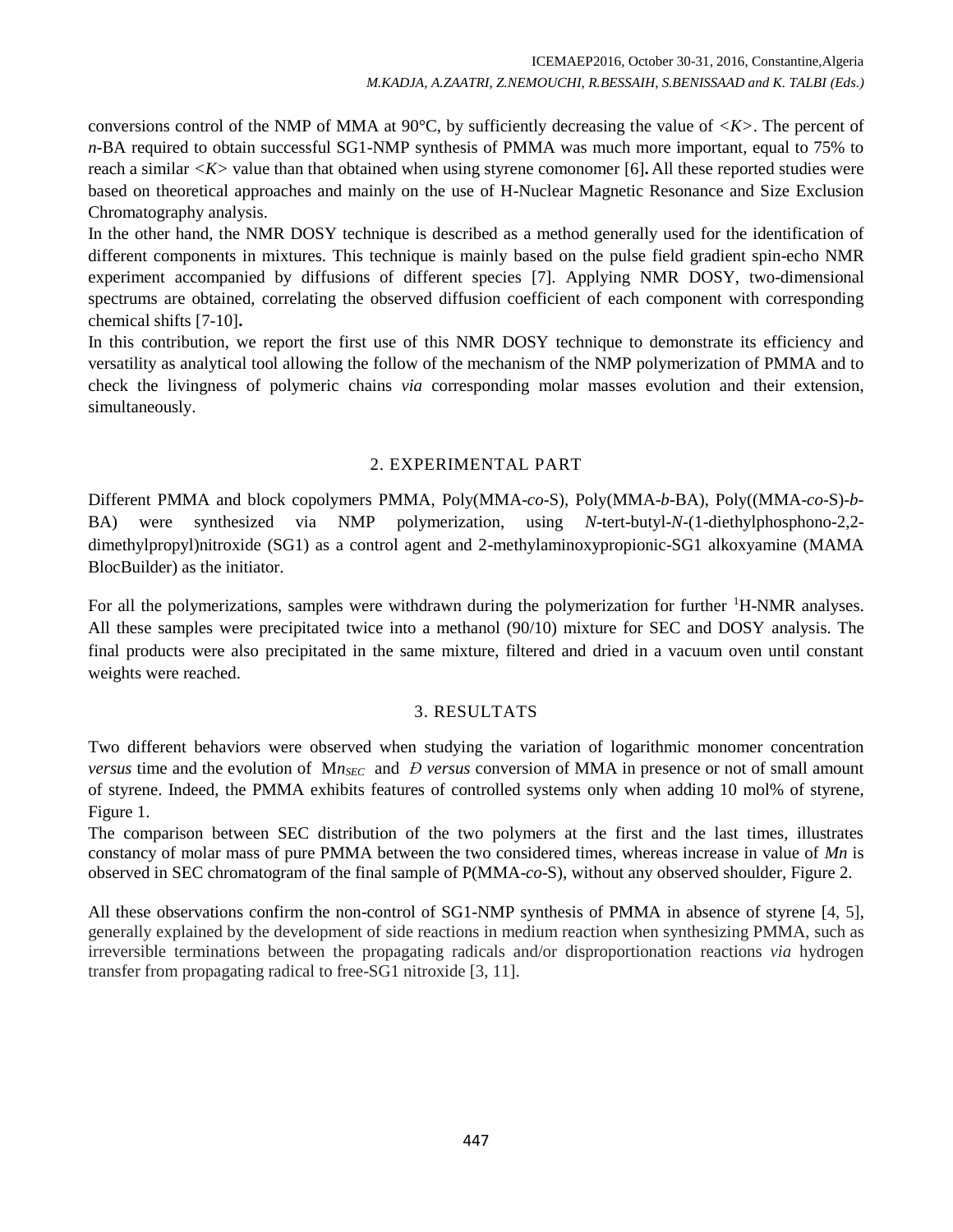conversions control of the NMP of MMA at 90°C, by sufficiently decreasing the value of *<K>*. The percent of *n*-BA required to obtain successful SG1-NMP synthesis of PMMA was much more important, equal to 75% to reach a similar *<K>* value than that obtained when using styrene comonomer [6]**.** All these reported studies were based on theoretical approaches and mainly on the use of H-Nuclear Magnetic Resonance and Size Exclusion Chromatography analysis.

In the other hand, the NMR DOSY technique is described as a method generally used for the identification of different components in mixtures. This technique is mainly based on the pulse field gradient spin-echo NMR experiment accompanied by diffusions of different species [7]. Applying NMR DOSY, two-dimensional spectrums are obtained, correlating the observed diffusion coefficient of each component with corresponding chemical shifts [7-10]**.**

In this contribution, we report the first use of this NMR DOSY technique to demonstrate its efficiency and versatility as analytical tool allowing the follow of the mechanism of the NMP polymerization of PMMA and to check the livingness of polymeric chains *via* corresponding molar masses evolution and their extension, simultaneously.

## 2. EXPERIMENTAL PART

Different PMMA and block copolymers PMMA, Poly(MMA-*co*-S), Poly(MMA-*b*-BA), Poly((MMA-*co*-S)-*b*-BA) were synthesized via NMP polymerization, using *N*-tert-butyl-*N*-(1-diethylphosphono-2,2 dimethylpropyl)nitroxide (SG1) as a control agent and 2-methylaminoxypropionic-SG1 alkoxyamine (MAMA BlocBuilder) as the initiator.

For all the polymerizations, samples were withdrawn during the polymerization for further <sup>1</sup>H-NMR analyses. All these samples were precipitated twice into a methanol (90/10) mixture for SEC and DOSY analysis. The final products were also precipitated in the same mixture, filtered and dried in a vacuum oven until constant weights were reached.

## 3. RESULTATS

Two different behaviors were observed when studying the variation of logarithmic monomer concentration *versus* time and the evolution of M*nSEC* and *Đ versus* conversion of MMA in presence or not of small amount of styrene. Indeed, the PMMA exhibits features of controlled systems only when adding 10 mol% of styrene, Figure 1.

The comparison between SEC distribution of the two polymers at the first and the last times, illustrates constancy of molar mass of pure PMMA between the two considered times, whereas increase in value of *Mn* is observed in SEC chromatogram of the final sample of P(MMA-*co*-S), without any observed shoulder, Figure 2.

All these observations confirm the non-control of SG1-NMP synthesis of PMMA in absence of styrene [4, 5], generally explained by the development of side reactions in medium reaction when synthesizing PMMA, such as irreversible terminations between the propagating radicals and/or disproportionation reactions *via* hydrogen transfer from propagating radical to free-SG1 nitroxide [3, 11].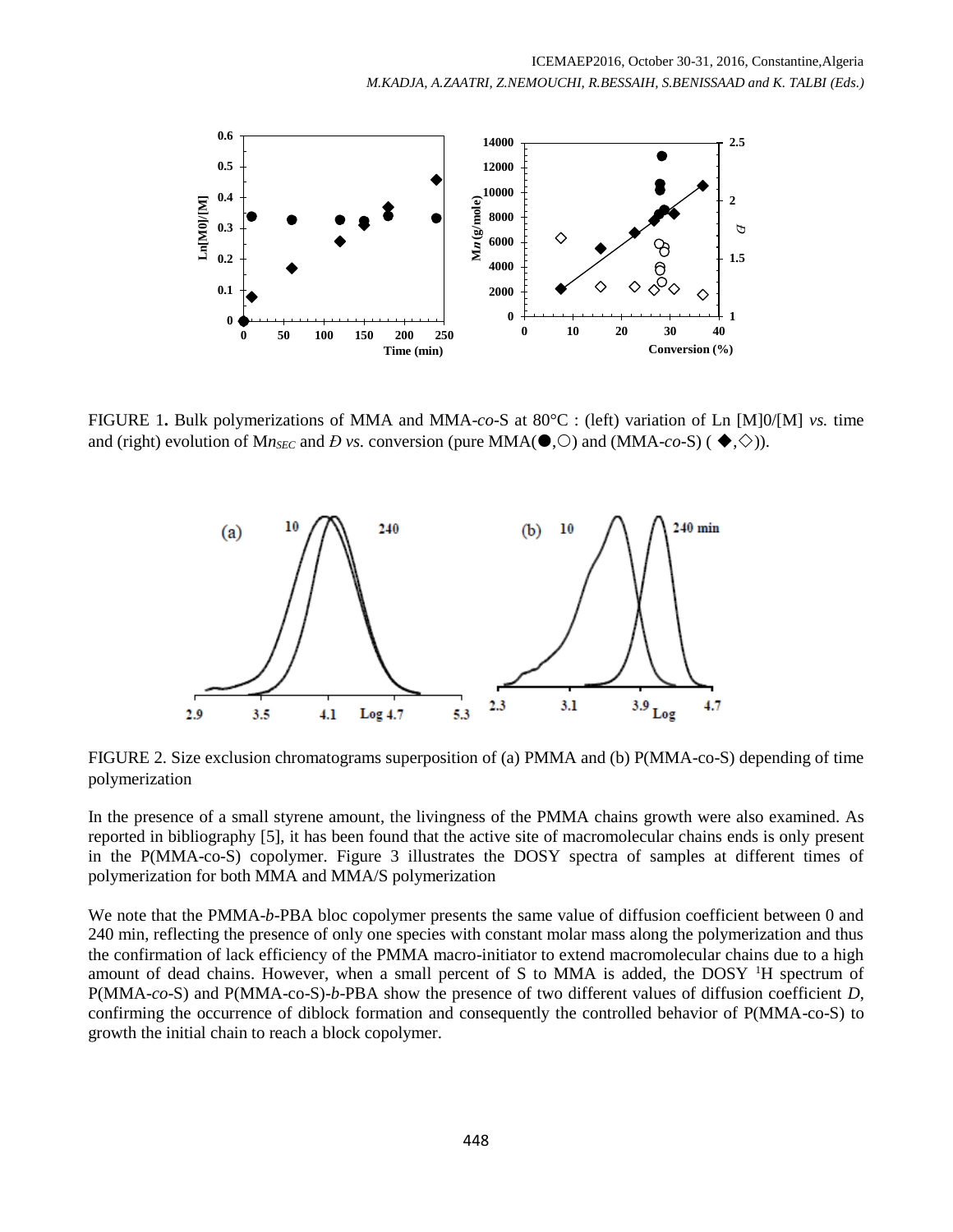

FIGURE 1**.** Bulk polymerizations of MMA and MMA-*co*-S at 80°C : (left) variation of Ln [M]0/[M] *vs.* time and (right) evolution of Mn<sub>SEC</sub> and *Đ vs.* conversion (pure MMA( $\bullet$ ,  $\circ$ ) and (MMA-*co*-S) ( $\bullet$ ,  $\diamond$ )).



FIGURE 2. Size exclusion chromatograms superposition of (a) PMMA and (b) P(MMA-co-S) depending of time polymerization

In the presence of a small styrene amount, the livingness of the PMMA chains growth were also examined. As reported in bibliography [5], it has been found that the active site of macromolecular chains ends is only present in the P(MMA-co-S) copolymer. Figure 3 illustrates the DOSY spectra of samples at different times of polymerization for both MMA and MMA/S polymerization

We note that the PMMA-*b*-PBA bloc copolymer presents the same value of diffusion coefficient between 0 and 240 min, reflecting the presence of only one species with constant molar mass along the polymerization and thus the confirmation of lack efficiency of the PMMA macro-initiator to extend macromolecular chains due to a high amount of dead chains. However, when a small percent of S to MMA is added, the DOSY <sup>1</sup>H spectrum of P(MMA-*co*-S) and P(MMA-co-S)-*b*-PBA show the presence of two different values of diffusion coefficient *D*, confirming the occurrence of diblock formation and consequently the controlled behavior of P(MMA-co-S) to growth the initial chain to reach a block copolymer.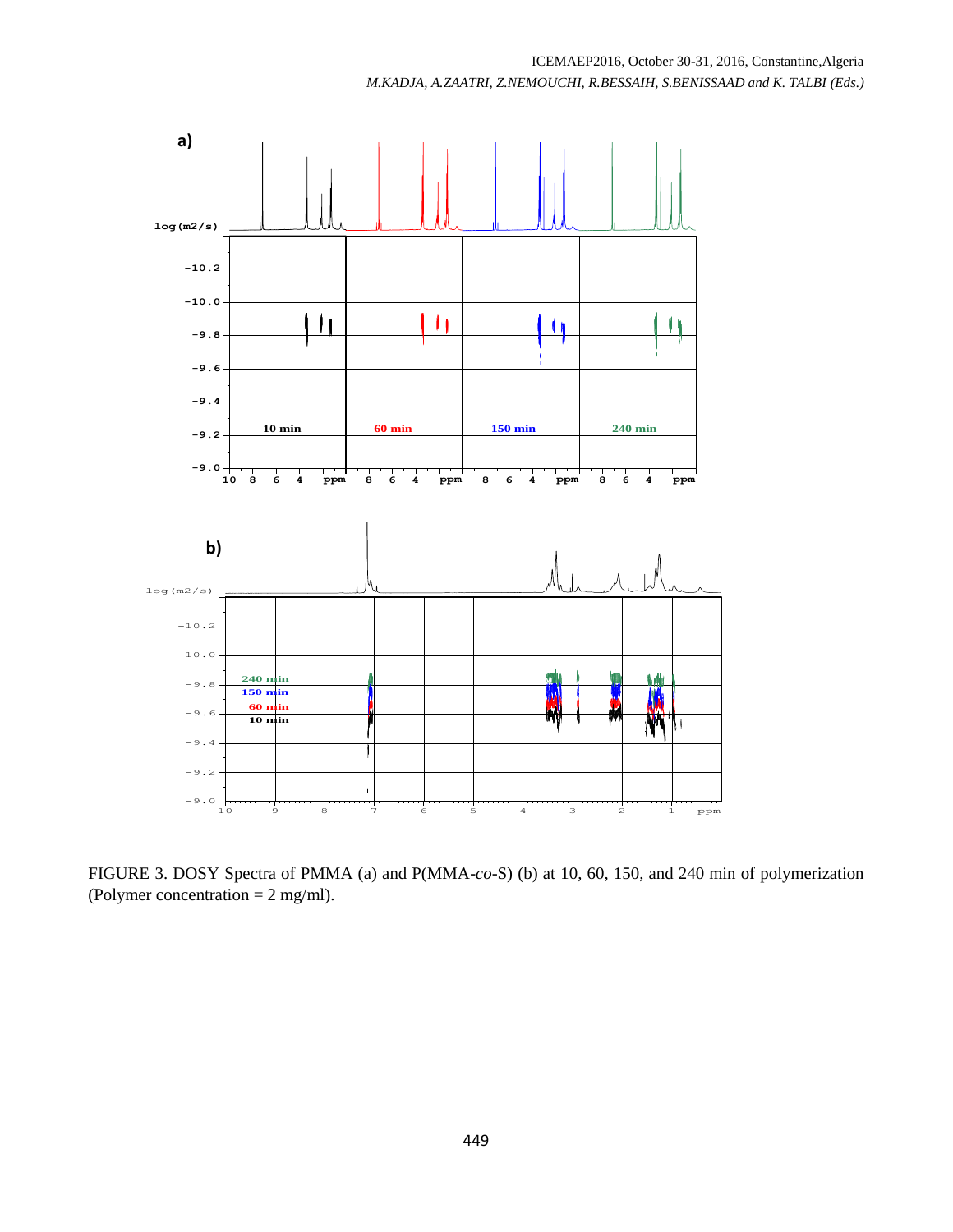

FIGURE 3. DOSY Spectra of PMMA (a) and P(MMA-*co*-S) (b) at 10, 60, 150, and 240 min of polymerization (Polymer concentration = 2 mg/ml).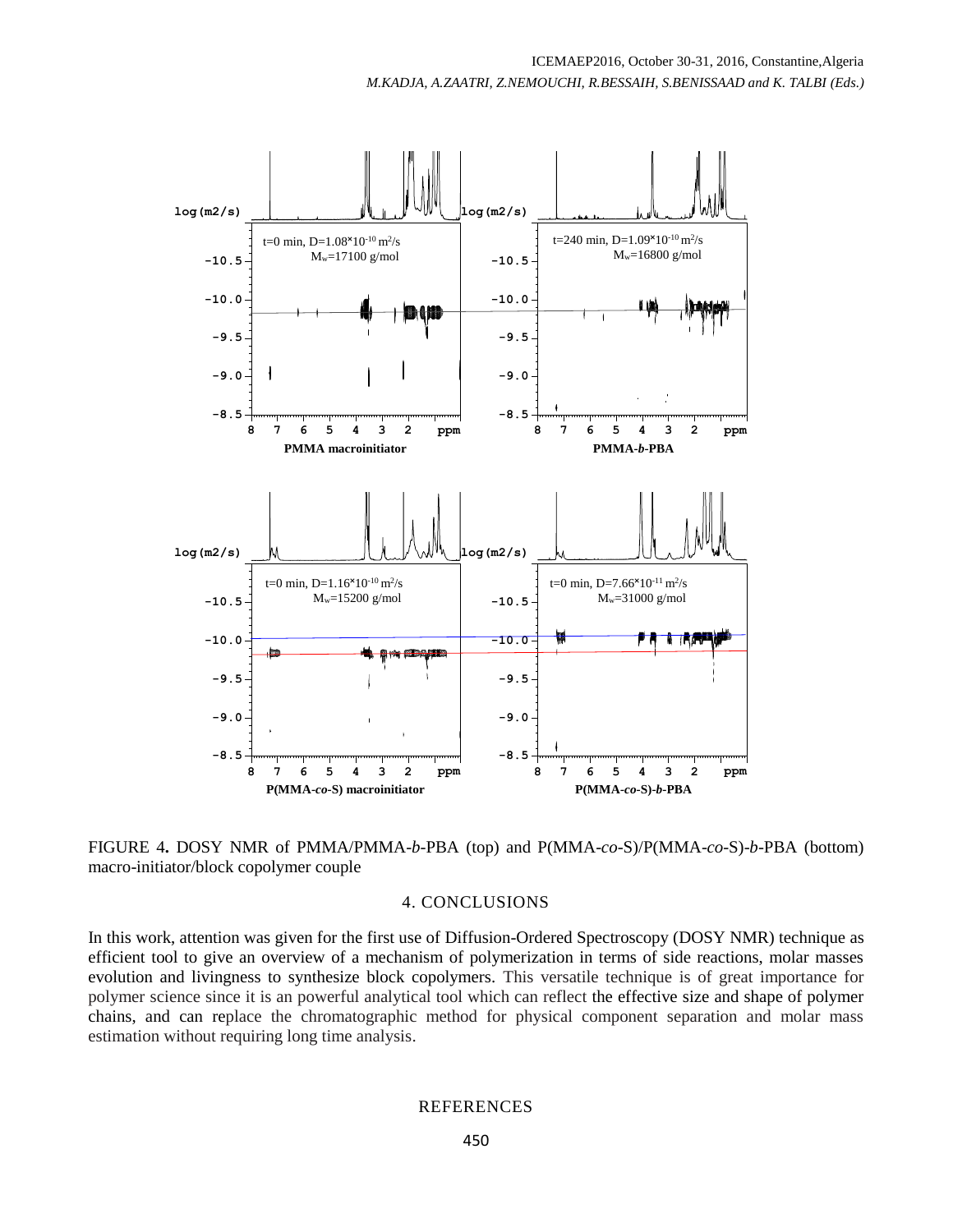

FIGURE 4**.** DOSY NMR of PMMA/PMMA-*b*-PBA (top) and P(MMA-*co*-S)/P(MMA-*co*-S)-*b*-PBA (bottom) macro-initiator/block copolymer couple

#### 4. CONCLUSIONS

In this work, attention was given for the first use of Diffusion-Ordered Spectroscopy (DOSY NMR) technique as efficient tool to give an overview of a mechanism of polymerization in terms of side reactions, molar masses evolution and livingness to synthesize block copolymers. This versatile technique is of great importance for polymer science since it is an powerful analytical tool which can reflect the effective size and shape of polymer chains, and can replace the chromatographic method for physical component separation and molar mass estimation without requiring long time analysis.

## **REFERENCES**